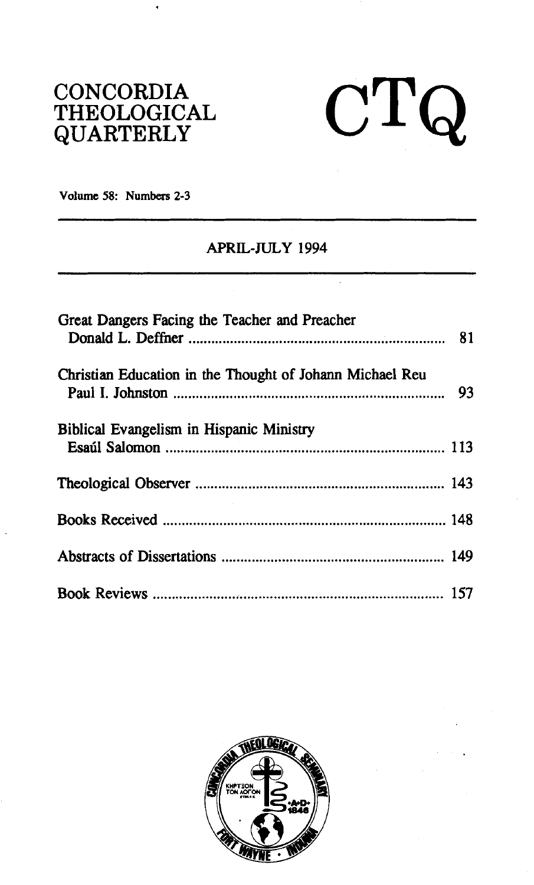## **CONCORDIA THEOLOGICAL QUARTERLY**



**Volume 58: Numbers 2-3** 

## **APRIL-JULY 1994**

| Great Dangers Facing the Teacher and Preacher            |  |
|----------------------------------------------------------|--|
| Christian Education in the Thought of Johann Michael Reu |  |
| Biblical Evangelism in Hispanic Ministry                 |  |
|                                                          |  |
|                                                          |  |
|                                                          |  |
|                                                          |  |

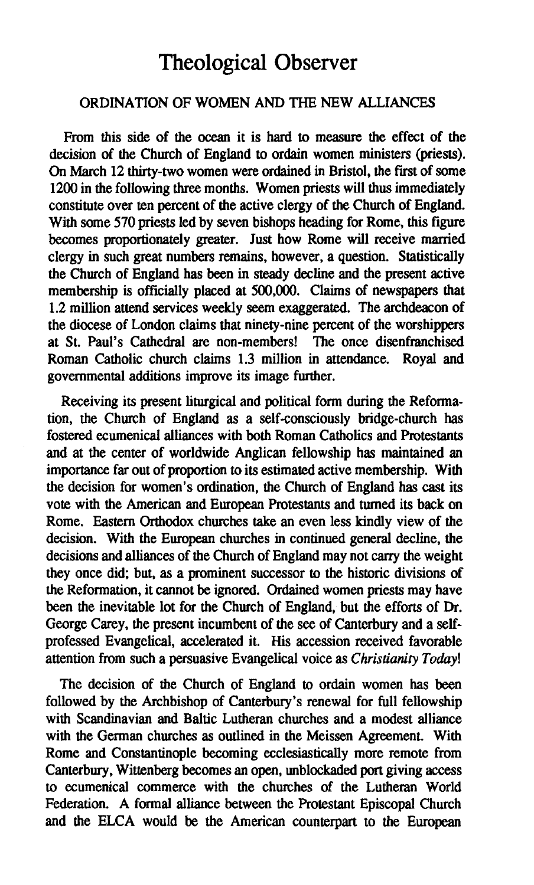## **Theological Observer**

## ORDINATION OF WOMEN AND THE NEW ALLIANCES

From this side of the **ocean** it is hard to measure the effect of the decision of the Church of England to ordain women ministers (priests). On March 12 thirty-two women were ordained in Bristol, the first of some 1200 in the following three months. Women priests will thus immediately constitute over ten percent of the active clergy of the Church of England. With some 570 priests led by seven bishops heading for Rome, this figure becomes proportionately greater. Just how Rome will receive married clergy in such great numbers remains, however, a question. Statistically the Church of England has been in steady decline and the present active membership is officially placed at 500,000. Claims of newspapers that 1.2 million attend services weekly **seem** exaggerated. The archdeacon of the diocese of London claims that ninety-nine percent of the worshippers at St. Paul's Cathedral are non-members! The once disenfranchised Roman Catholic church claims 1.3 million in attendance. Royal and governmental additions improve its image further.

Receiving its present liturgical and political form during the Reformation, the Church of England as a self-consciously bridge-church has fostered ecumenical alliances with both Roman Catholics and Protestants and at the center of worldwide Anglican fellowship has maintained an importance far out of proportion to its estimated active membership. With the decision for women's ordination, the Church of England has cast its vote with the American and European Protestants and turned its back on Rome. Eastern Orthodox churches take an even less kindly view of the decision. With the European churches in continued general decline, the decisions and alliances of the Church of England may not **carry** the weight they once did; but, as a prominent successor **to** the historic divisions of the Reformation, it cannot be ignored. Ordained women priests may have been the inevitable lot for the Church of England, but the efforts of Dr. George Carey, the present incumbent of the see of Canterbury and a selfprofessed Evangelical, accelerated it. His accession received favorable attention from such a persuasive Evangelical voice as Christianity Today!

The decision of the Church of England **to** ordain women has been followed by the Archbishop of Canterbury's renewal for full fellowship with Scandinavian and Baltic Lutheran churches and a modest alliance with the German churches as outlined in the Meissen Agreement. With Rome and Constantinople becoming ecclesiastically more remote from Canterbury, Wittenberg becomes an open, unblockaded port giving access to ecumenical commerce with the churches of the Lutheran World Federation. A formal alliance between the Protestant Episcopal Church and the ELCA would be the American counterpart to the European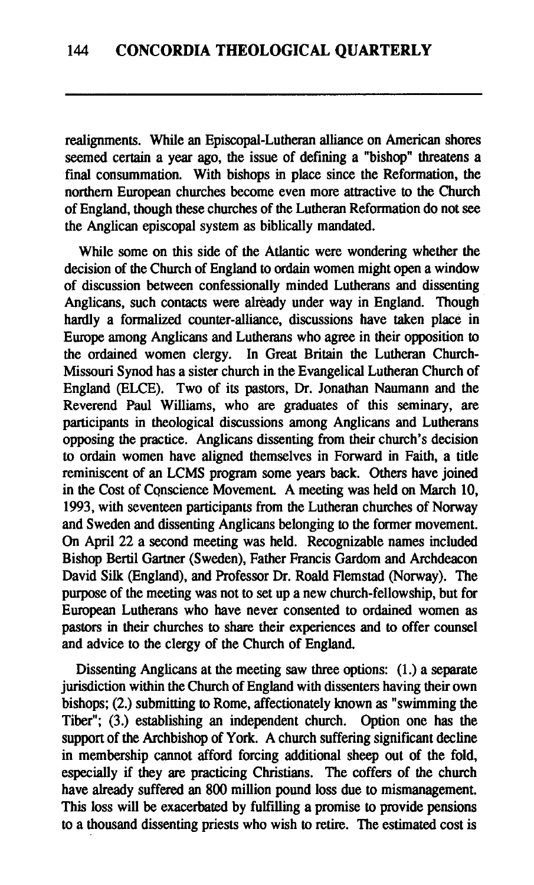realignments. While an Episcopal-Lutheran alliance on American shores seemed certain a year ago, the issue of defining a "bishop" threatens a final consummation. With bishops in place since the Reformation, the northern European churches become even more attractive to the Church of England, though these churches of the Lutheran Reformation do not see the Anglican episcopal system as biblically mandated.

While some on this side of the Atlantic were wondering whether the decision of the Church of England to ordain women might open a window of discussion between confessionally minded Lutherans and dissenting Anglicans, such contacts were already under way in England. Though hardly a formalized counter-alliance, discussions have taken place in Europe among Anglicans and Lutherans who agree in their opposition to the ordained women clergy. In Great Britain the Lutheran Church-Missouri Synod has a sister church in the Evangelical Lutheran Church of England (ELCE). Two of its pastors, Dr. Jonathan Naumann and the Reverend Paul Williams, who are graduates of this seminary, are participants in theological discussions among Anglicans and Lutherans opposing the practice. Anglicans dissenting from their church's decision to ordain women have aligned themselves in Forward in Faith, a title reminiscent of an LCMS program some years back. Others have joined in the Cost of Conscience Movement. A meeting was held on March 10, 1993, with seventeen participants from the Lutheran churches of Norway and Sweden and dissenting Anglicans belonging to the former movement. On April 22 a second meeting was held. Recognizable names included Bishop Bertil Gartner (Sweden), Father Francis Gardom and Archdeacon David Silk (England), and Professor Dr. Roald Flemstad (Norway). The purpose of the meeting was not to set up a new church-fellowship, but for European Lutherans who have never consented to ordained women as pastors in their churches to share their experiences and to offer counsel and advice to the clergy of the Church of England.

Dissenting Anglicans at the meeting saw three options: (1.) a separate jurisdiction within the Church of England with dissenters having their own bishops; (2.) submitting to Rome, affectionately known as "swimming the Tiber"; (3.) establishing an independent church. Option one has the support of the Archbishop of York. A church suffering significant decline in membership cannot afford forcing additional sheep out of the fold, especially if they are practicing Christians. The coffers of the church have already suffered an 800 million pound loss due to mismanagement. This loss will be exacerbated by fulfilling a promise to provide pensions to a thousand dissenting priests who wish to retire. The estimated cost is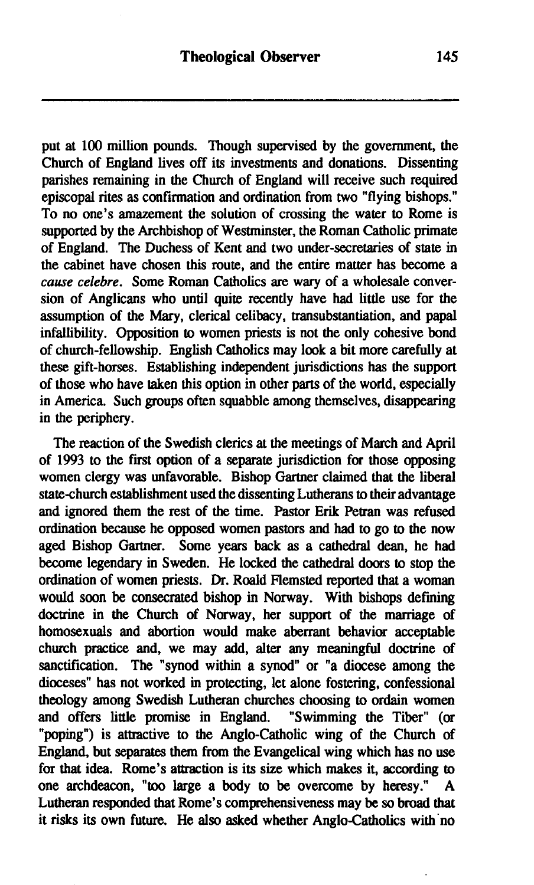put at 100 million pounds. Though supervised by the government, the Church of England lives off its investments and donations. Dissenting parishes remaining in the Church of England will receive such required episcopal rites as confirmation and ordination from two "flying bishops." To no one's amazement the solution of crossing the water to Rome is supported by the Archbishop of Westminster, the Roman Catholic primate of England. The Duchess of Kent and two under-secretaries of state in the cabinet have chosen this route, and the entire matter has become a **cause** *celebre.* Some Roman Catholics are wary of a wholesale conversion of Anglicans who until quite recently have had little use for the assumption of the **Mary,** clerical celibacy, transubstantiation, and papal infallibility. Opposition to women priests is not the only cohesive bond of church-fellowship. English Catholics may look a bit more carefully at these gift-horses. Establishing independent jurisdictions has the support of those who have taken this option in other parts of the world, especially in America. Such groups often squabble among themselves, disappearing in the periphery.

The reaction of the Swedish clerics at the meetings of March and April of 1993 to the first option of a separate jurisdiction for those opposing women clergy was unfavorable. Bishop Gartner claimed that the liberal state-church establishment used the dissenting Lutherans to their advantage and ignored them the rest of the time. Pastor Erik Petran was refused ordination because he opposed women pastors and had to go to the now aged Bishop Gartner. Some years back as a cathedral dean, he had become legendary in Sweden. He locked the cathedral doors to stop the ordination of women priests. Dr. Roald Flemsted reported that a woman would soon be consecrated bishop in Norway. With bishops defining doctrine in the Church of Norway, her support of the marriage of homosexuals and abortion would make aberrant behavior acceptable church practice and, we may add, alter any meaningful doctrine of sanctification. The "synod within a synod" or "a diocese among the dioceses" has not worked in protecting, let alone fostering, confessional theology among Swedish Lutheran churches choosing to ordain women<br>and offers little promise in England. "Swimming the Tiber" (or and offers little promise in England. "poping") is attractive to the Anglo-Catholic wing of the Church of England, but separates them from the Evangelical wing which has no use for that idea. Rome's attraction is its size which makes it, according to one archdeacon, **"too** large a body to be overcome by heresy." **A**  Lutheran responded that Rome's comprehensiveness may be so broad that it risks its own future. He also asked whether Anglo-Catholics with'no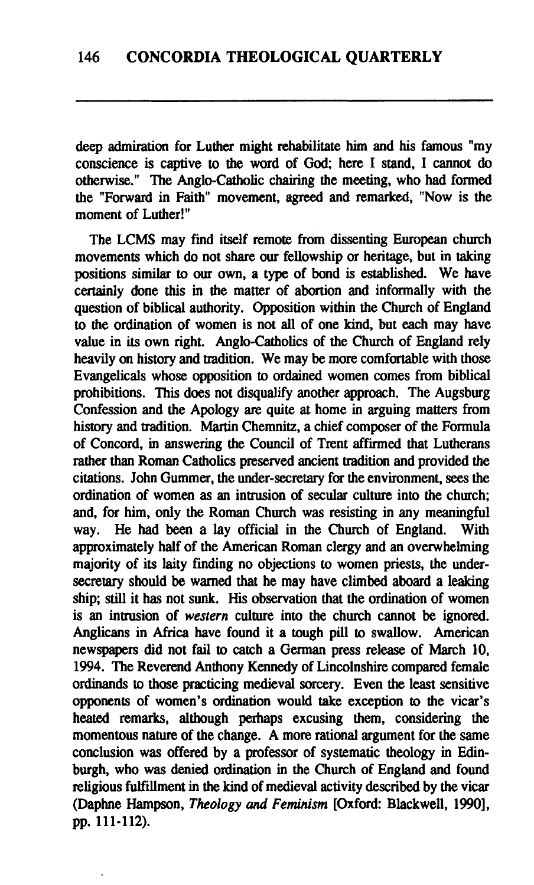**deep** admiration for Luther might rehabilitate him and his famous "my conscience is captive to the word of God; here I stand, I cannot do otherwise." The Anglo-Catholic chairing the meeting, who had formed the "Forward in Faith" movement, agreed and remarked, "Now is the moment of Luther!"

The LCMS may find itself remote from dissenting European church movements which do not share our fellowship or heritage, but in taking positions similar to our own, a type of bond is established. We have certainly done this in the matter of abortion and informally with the question of biblical authority. Opposition within the Church of England to the ordination of women is not all of one kind, but each may have value in its own right. Anglo-Catholics of the Church of England rely heavily on history and tradition. We may be more comfortable with those Evangelicals whose opposition to ordained women comes from biblical prohibitions. **This** does not disqualify another approach. The Augsburg Confession and the Apology are quite **at** home in arguing matters from history and tradition. Martin Chemnitz, a chief composer of the Formula of Concord, in answering the Council of Trent **affied** that Lutherans rather than Roman Catholics preserved ancient tradition and provided the citations. John Gummer, the under-secretary for the environment, **sees** the ordination of women as an intrusion of secular culture into the church; and, for him, only the Roman Church was resisting in any meaningful way. He had been a lay official in the Church of England. With approximately half of the American Roman clergy and an overwhelming majority of its laity finding no objections to women priests, the undersecretary should be warned that he may have climbed aboard a leaking ship; still it has not sunk. His observation that the ordination of women is an intrusion of western culture into the church cannot be ignored. Anglicans in Africa have found it a tough pill to swallow. American newspapem did not fail **to** catch a German press release of March 10, 1994. The Reverend Anthony Kennedy of Lincolnshire compared female ordinands to those practicing medieval sorcery. Even the least sensitive opponents of women's ordination would take exception to the vicar's heated remarks, although perhaps excusing them, considering the momentous nature of the change. A more rational argument for the same conclusion was offered by a professor of systematic theology in Edinburgh, who was denied ordination in the Church of England and found religious fulfillment in the kind of medieval activity described by the vicar (Daphne Hampson, Theology und **Feminism** [Oxford: Blackwell, 19901, **pp.** 111-112).